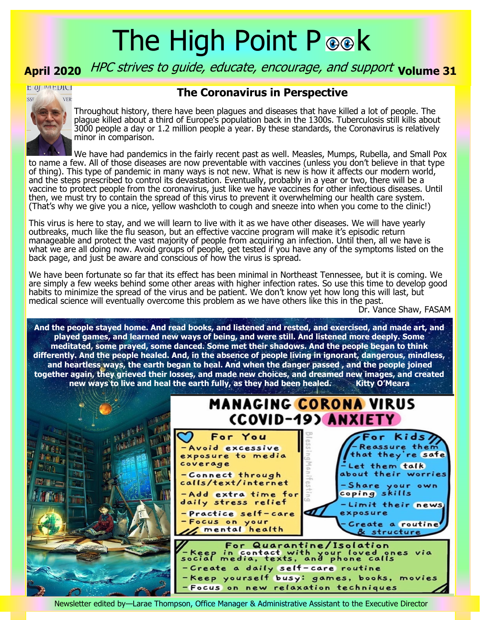# The High Point P ook

# April 2020 *HPC strives to guide, educate, encourage, and support* volume 31

E OJ MEDICI

#### **The Coronavirus in Perspective**



Throughout history, there have been plagues and diseases that have killed a lot of people. The plague killed about a third of Europe's population back in the 1300s. Tuberculosis still kills about 3000 people a day or 1.2 million people a year. By these standards, the Coronavirus is relatively minor in comparison.

We have had pandemics in the fairly recent past as well. Measles, Mumps, Rubella, and Small Pox to name a few. All of those diseases are now preventable with vaccines (unless you don't believe in that type of thing). This type of pandemic in many ways is not new. What is new is how it affects our modern world, and the steps prescribed to control its devastation. Eventually, probably in a year or two, there will be a vaccine to protect people from the coronavirus, just like we have vaccines for other infectious diseases. Until then, we must try to contain the spread of this virus to prevent it overwhelming our health care system. (That's why we give you a nice, yellow washcloth to cough and sneeze into when you come to the clinic!)

This virus is here to stay, and we will learn to live with it as we have other diseases. We will have yearly outbreaks, much like the flu season, but an effective vaccine program will make it's episodic return manageable and protect the vast majority of people from acquiring an infection. Until then, all we have is what we are all doing now. Avoid groups of people, get tested if you have any of the symptoms listed on the back page, and just be aware and conscious of how the virus is spread.

We have been fortunate so far that its effect has been minimal in Northeast Tennessee, but it is coming. We are simply a few weeks behind some other areas with higher infection rates. So use this time to develop good habits to minimize the spread of the virus and be patient. We don't know yet how long this will last, but medical science will eventually overcome this problem as we have others like this in the past.

Dr. Vance Shaw, FASAM

**And the people stayed home. And read books, and listened and rested, and exercised, and made art, and played games, and learned new ways of being, and were still. And listened more deeply. Some meditated, some prayed, some danced. Some met their shadows. And the people began to think differently. And the people healed. And, in the absence of people living in ignorant, dangerous, mindless, and heartless ways, the earth began to heal. And when the danger passed , and the people joined together again, they grieved their losses, and made new choices, and dreamed new images, and created new ways to live and heal the earth fully, as they had been healed. Kitty O'Meara**



Newsletter edited by—Larae Thompson, Office Manager & Administrative Assistant to the Executive Director